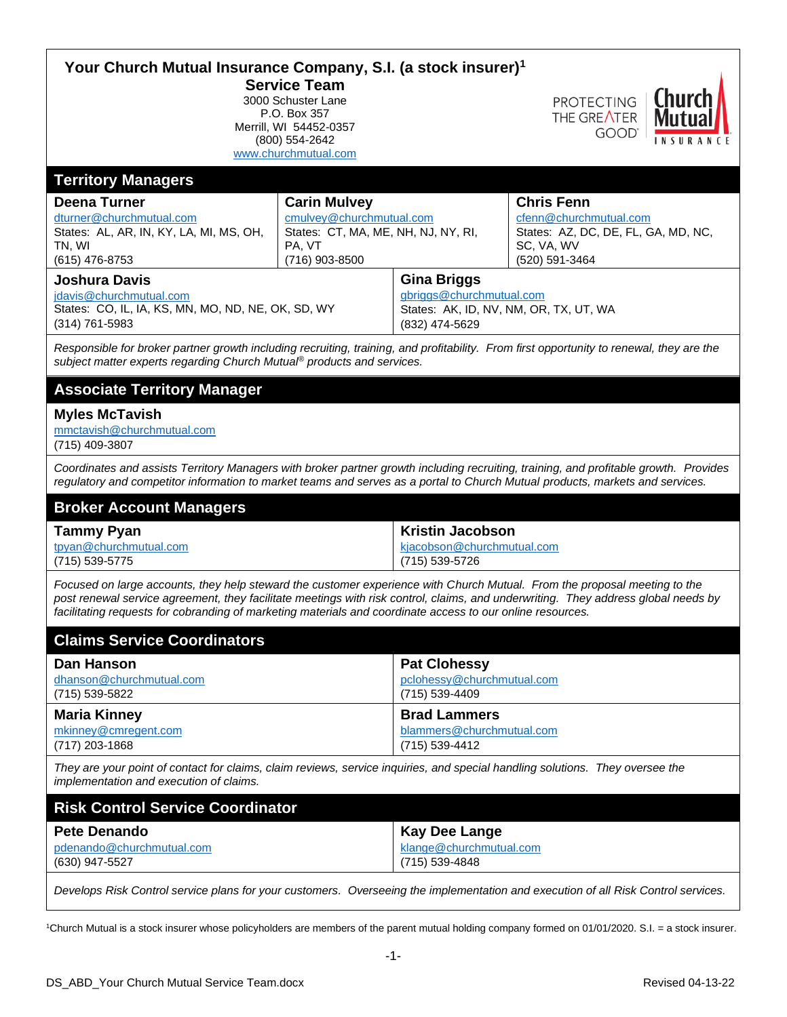| Your Church Mutual Insurance Company, S.I. (a stock insurer) <sup>1</sup><br><b>Service Team</b><br>PROTECTING   <b>Churc</b><br>3000 Schuster Lane<br>P.O. Box 357                                                                                                                                                                                                           |                                                                                                                    |                                                                                                            |                                                                                                                    |  |
|-------------------------------------------------------------------------------------------------------------------------------------------------------------------------------------------------------------------------------------------------------------------------------------------------------------------------------------------------------------------------------|--------------------------------------------------------------------------------------------------------------------|------------------------------------------------------------------------------------------------------------|--------------------------------------------------------------------------------------------------------------------|--|
| Merrill, WI 54452-0357<br>(800) 554-2642<br>www.churchmutual.com                                                                                                                                                                                                                                                                                                              |                                                                                                                    |                                                                                                            | THE GREATER<br><b>GOOD</b><br>INSURANCE                                                                            |  |
| <b>Territory Managers</b>                                                                                                                                                                                                                                                                                                                                                     |                                                                                                                    |                                                                                                            |                                                                                                                    |  |
| <b>Deena Turner</b><br>dturner@churchmutual.com<br>States: AL, AR, IN, KY, LA, MI, MS, OH,<br>TN, WI<br>(615) 476-8753                                                                                                                                                                                                                                                        | <b>Carin Mulvey</b><br>cmulvey@churchmutual.com<br>States: CT, MA, ME, NH, NJ, NY, RI,<br>PA, VT<br>(716) 903-8500 |                                                                                                            | <b>Chris Fenn</b><br>cfenn@churchmutual.com<br>States: AZ, DC, DE, FL, GA, MD, NC,<br>SC, VA, WV<br>(520) 591-3464 |  |
| <b>Joshura Davis</b><br>jdavis@churchmutual.com<br>States: CO, IL, IA, KS, MN, MO, ND, NE, OK, SD, WY<br>$(314)$ 761-5983                                                                                                                                                                                                                                                     |                                                                                                                    | <b>Gina Briggs</b><br>gbriggs@churchmutual.com<br>States: AK, ID, NV, NM, OR, TX, UT, WA<br>(832) 474-5629 |                                                                                                                    |  |
| Responsible for broker partner growth including recruiting, training, and profitability. From first opportunity to renewal, they are the<br>subject matter experts regarding Church Mutual® products and services.                                                                                                                                                            |                                                                                                                    |                                                                                                            |                                                                                                                    |  |
| <b>Associate Territory Manager</b>                                                                                                                                                                                                                                                                                                                                            |                                                                                                                    |                                                                                                            |                                                                                                                    |  |
| <b>Myles McTavish</b><br>mmctavish@churchmutual.com<br>(715) 409-3807                                                                                                                                                                                                                                                                                                         |                                                                                                                    |                                                                                                            |                                                                                                                    |  |
| Coordinates and assists Territory Managers with broker partner growth including recruiting, training, and profitable growth. Provides<br>regulatory and competitor information to market teams and serves as a portal to Church Mutual products, markets and services.                                                                                                        |                                                                                                                    |                                                                                                            |                                                                                                                    |  |
| <b>Broker Account Managers</b>                                                                                                                                                                                                                                                                                                                                                |                                                                                                                    |                                                                                                            |                                                                                                                    |  |
| <b>Tammy Pyan</b><br>tpyan@churchmutual.com<br>(715) 539-5775                                                                                                                                                                                                                                                                                                                 |                                                                                                                    | <b>Kristin Jacobson</b><br>kjacobson@churchmutual.com<br>(715) 539-5726                                    |                                                                                                                    |  |
| Focused on large accounts, they help steward the customer experience with Church Mutual. From the proposal meeting to the<br>post renewal service agreement, they facilitate meetings with risk control, claims, and underwriting. They address global needs by<br>facilitating requests for cobranding of marketing materials and coordinate access to our online resources. |                                                                                                                    |                                                                                                            |                                                                                                                    |  |
| <b>Claims Service Coordinators</b>                                                                                                                                                                                                                                                                                                                                            |                                                                                                                    |                                                                                                            |                                                                                                                    |  |
| <b>Dan Hanson</b><br>dhanson@churchmutual.com<br>(715) 539-5822                                                                                                                                                                                                                                                                                                               |                                                                                                                    | <b>Pat Clohessy</b><br>pclohessy@churchmutual.com<br>(715) 539-4409                                        |                                                                                                                    |  |
| <b>Maria Kinney</b><br>mkinney@cmregent.com<br>(717) 203-1868                                                                                                                                                                                                                                                                                                                 |                                                                                                                    | <b>Brad Lammers</b><br>blammers@churchmutual.com<br>(715) 539-4412                                         |                                                                                                                    |  |
| They are your point of contact for claims, claim reviews, service inquiries, and special handling solutions. They oversee the<br>implementation and execution of claims.                                                                                                                                                                                                      |                                                                                                                    |                                                                                                            |                                                                                                                    |  |
| <b>Risk Control Service Coordinator</b>                                                                                                                                                                                                                                                                                                                                       |                                                                                                                    |                                                                                                            |                                                                                                                    |  |
| <b>Pete Denando</b><br>pdenando@churchmutual.com<br>(630) 947-5527                                                                                                                                                                                                                                                                                                            |                                                                                                                    | <b>Kay Dee Lange</b><br>klange@churchmutual.com<br>(715) 539-4848                                          |                                                                                                                    |  |

*Develops Risk Control service plans for your customers. Overseeing the implementation and execution of all Risk Control services.*

1Church Mutual is a stock insurer whose policyholders are members of the parent mutual holding company formed on 01/01/2020. S.I. = a stock insurer.